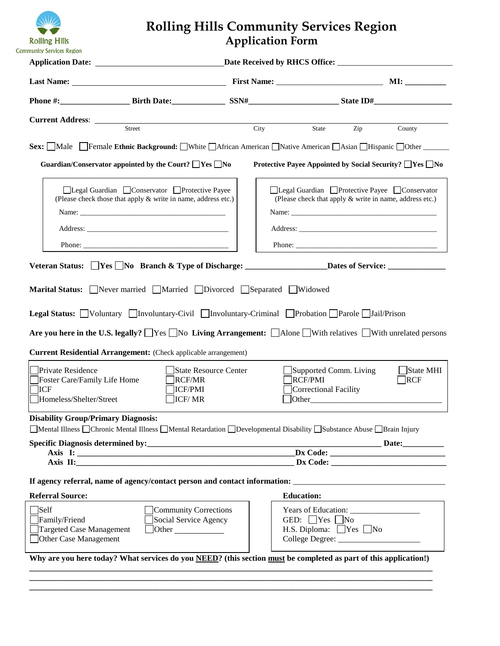

# **Rolling Hills Community Services Region Application Form**

| <b>HUHHI)</b> JEHILES KEKIUL                                                                                                                                                                                                                                                                                                                                                                                                                                               |                                                            |                  |                  |
|----------------------------------------------------------------------------------------------------------------------------------------------------------------------------------------------------------------------------------------------------------------------------------------------------------------------------------------------------------------------------------------------------------------------------------------------------------------------------|------------------------------------------------------------|------------------|------------------|
|                                                                                                                                                                                                                                                                                                                                                                                                                                                                            |                                                            |                  |                  |
|                                                                                                                                                                                                                                                                                                                                                                                                                                                                            |                                                            |                  |                  |
| <b>Current Address:</b> <u>Street City</u>                                                                                                                                                                                                                                                                                                                                                                                                                                 | State                                                      |                  |                  |
|                                                                                                                                                                                                                                                                                                                                                                                                                                                                            |                                                            | $\overline{Zip}$ | County           |
| Sex: Male Female Ethnic Background: White African American Native American Asian Hispanic Other                                                                                                                                                                                                                                                                                                                                                                            |                                                            |                  |                  |
| Guardian/Conservator appointed by the Court? $\Box$ Yes $\Box$ No                                                                                                                                                                                                                                                                                                                                                                                                          | Protective Payee Appointed by Social Security? □ Yes □ No  |                  |                  |
| □Legal Guardian □ Conservator □ Protective Payee                                                                                                                                                                                                                                                                                                                                                                                                                           | □Legal Guardian □Protective Payee □Conservator             |                  |                  |
| (Please check those that apply & write in name, address etc.)                                                                                                                                                                                                                                                                                                                                                                                                              | (Please check that apply & write in name, address etc.)    |                  |                  |
|                                                                                                                                                                                                                                                                                                                                                                                                                                                                            |                                                            |                  |                  |
|                                                                                                                                                                                                                                                                                                                                                                                                                                                                            |                                                            |                  |                  |
|                                                                                                                                                                                                                                                                                                                                                                                                                                                                            |                                                            |                  |                  |
|                                                                                                                                                                                                                                                                                                                                                                                                                                                                            |                                                            |                  |                  |
| <b>Legal Status:</b> Voluntary Involuntary-Civil Involuntary-Criminal Probation Parole Jail/Prison<br>Are you here in the U.S. legally? $\Box$ Yes $\Box$ No Living Arrangement: $\Box$ Alone $\Box$ With relatives $\Box$ With unrelated persons<br><b>Current Residential Arrangement:</b> (Check applicable arrangement)<br>Private Residence<br>State Resource Center<br>Foster Care/Family Life Home<br>RCF/MR<br>ICF/PMI<br>ICF<br>Homeless/Shelter/Street<br>ICF/MR | Supported Comm. Living<br>RCF/PMI<br>Correctional Facility |                  | State MHI<br>RCF |
| <b>Disability Group/Primary Diagnosis:</b>                                                                                                                                                                                                                                                                                                                                                                                                                                 |                                                            |                  |                  |
| Mental Illness Chronic Mental Illness Mental Retardation Developmental Disability Substance Abuse Brain Injury                                                                                                                                                                                                                                                                                                                                                             |                                                            |                  |                  |
|                                                                                                                                                                                                                                                                                                                                                                                                                                                                            |                                                            |                  |                  |
| Axis I: 2008. 2008. 2010. 2010. 2010. 2010. 2010. 2010. 2010. 2010. 2010. 2010. 2010. 2010. 2010. 2010. 2010. 2010. 2010. 2010. 2010. 2010. 2010. 2010. 2010. 2010. 2010. 2010. 2010. 2010. 2010. 2010. 2010. 2010. 2010. 2010<br>Axis II: 2008 2014 2022 2023 2024 2022 2023 2024 2022 2023 2024 2022 2023 2024 2022 2023 2024 2022 2023 2024 20                                                                                                                          |                                                            |                  |                  |
|                                                                                                                                                                                                                                                                                                                                                                                                                                                                            |                                                            |                  |                  |
| If agency referral, name of agency/contact person and contact information: ___________________________________                                                                                                                                                                                                                                                                                                                                                             |                                                            |                  |                  |
| <b>Referral Source:</b>                                                                                                                                                                                                                                                                                                                                                                                                                                                    | <b>Education:</b>                                          |                  |                  |
| $\exists$ Self<br>Community Corrections<br>Family/Friend<br>Social Service Agency                                                                                                                                                                                                                                                                                                                                                                                          | GED: $Yes$ No                                              |                  |                  |
| Targeted Case Management<br>$\Box$ Other                                                                                                                                                                                                                                                                                                                                                                                                                                   | H.S. Diploma: $\Box$ Yes $\Box$ No                         |                  |                  |
| Other Case Management                                                                                                                                                                                                                                                                                                                                                                                                                                                      |                                                            |                  |                  |
| Why are you here today? What services do you NEED? (this section must be completed as part of this application!)                                                                                                                                                                                                                                                                                                                                                           |                                                            |                  |                  |

**\_\_\_\_\_\_\_\_\_\_\_\_\_\_\_\_\_\_\_\_\_\_\_\_\_\_\_\_\_\_\_\_\_\_\_\_\_\_\_\_\_\_\_\_\_\_\_\_\_\_\_\_\_\_\_\_\_\_\_\_\_\_\_\_\_\_\_\_\_\_\_\_\_\_\_\_\_\_\_\_\_\_\_\_\_\_\_\_\_\_\_\_\_\_\_\_\_\_ \_\_\_\_\_\_\_\_\_\_\_\_\_\_\_\_\_\_\_\_\_\_\_\_\_\_\_\_\_\_\_\_\_\_\_\_\_\_\_\_\_\_\_\_\_\_\_\_\_\_\_\_\_\_\_\_\_\_\_\_\_\_\_\_\_\_\_\_\_\_\_\_\_\_\_\_\_\_\_\_\_\_\_\_\_\_\_\_\_\_\_\_\_\_\_\_\_\_**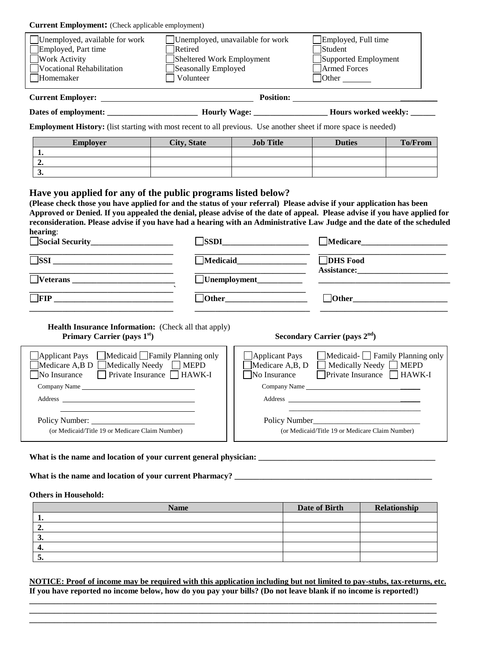## **Current Employment:** (Check applicable employment)

| Unemployed, available for work<br>Employed, Part time<br><b>Work Activity</b><br>Vocational Rehabilitation<br>Homemaker | Retired<br>Sheltered Work Employment<br>Seasonally Employed<br>Volunteer | Unemployed, unavailable for work | Employed, Full time<br>Student<br>Supported Employment<br>Armed Forces<br>$\sqrt{\frac{1}{2}}$ Other |                |
|-------------------------------------------------------------------------------------------------------------------------|--------------------------------------------------------------------------|----------------------------------|------------------------------------------------------------------------------------------------------|----------------|
|                                                                                                                         |                                                                          |                                  |                                                                                                      |                |
|                                                                                                                         |                                                                          |                                  |                                                                                                      |                |
| <b>Employment History:</b> (list starting with most recent to all previous. Use another sheet if more space is needed)  |                                                                          |                                  |                                                                                                      |                |
|                                                                                                                         |                                                                          | <b>Job Title</b>                 | <b>Duties</b>                                                                                        | <b>To/From</b> |
| <b>Employer</b>                                                                                                         | <b>City, State</b>                                                       |                                  |                                                                                                      |                |
| 1.                                                                                                                      |                                                                          |                                  |                                                                                                      |                |
| 2.                                                                                                                      |                                                                          |                                  |                                                                                                      |                |

**(Please check those you have applied for and the status of your referral) Please advise if your application has been Approved or Denied. If you appealed the denial, please advise of the date of appeal. Please advise if you have applied for reconsideration. Please advise if you have had a hearing with an Administrative Law Judge and the date of the scheduled hearing**:

| Social Security              | <b>SSDI</b>         | Medicare_                             |  |
|------------------------------|---------------------|---------------------------------------|--|
| $\overline{\phantom{a}}$ SSI | $\Box$ Medicaid     | <b>DHS</b> Food<br><b>Assistance:</b> |  |
| $\Box$ Veterans              | $\Box$ Unemployment |                                       |  |
| FIP                          | <b>Other</b>        | $\Box$ Other                          |  |
|                              |                     |                                       |  |

**Health Insurance Information:** (Check all that apply) **Primary Carrier (pays 1<sup>st</sup>) Secondary Carrier (pays 2<sup>nd</sup>)** 

| □ Applicant Pays □ Medicaid □ Family Planning only<br><b>Applicant Pays</b><br>$\Box$ Medicare A,B D $\Box$ Medically Needy $\Box$ MEPD<br>$\Box$ Medicare A,B, D<br>$\Box$ Medically Needy $\Box$ MEPD<br>$\Box$ Private Insurance $\Box$ HAWK-I<br>$\Box$ Private Insurance $\Box$ HAWK-I<br>No Insurance<br>No Insurance<br>Company Name<br>Company Name<br>Address<br>Address |                                              |
|-----------------------------------------------------------------------------------------------------------------------------------------------------------------------------------------------------------------------------------------------------------------------------------------------------------------------------------------------------------------------------------|----------------------------------------------|
|                                                                                                                                                                                                                                                                                                                                                                                   | $\Box$ Medicaid- $\Box$ Family Planning only |
|                                                                                                                                                                                                                                                                                                                                                                                   |                                              |
|                                                                                                                                                                                                                                                                                                                                                                                   |                                              |
|                                                                                                                                                                                                                                                                                                                                                                                   |                                              |
|                                                                                                                                                                                                                                                                                                                                                                                   |                                              |
|                                                                                                                                                                                                                                                                                                                                                                                   |                                              |
| Policy Number:<br>Policy Number                                                                                                                                                                                                                                                                                                                                                   |                                              |
| (or Medicaid/Title 19 or Medicare Claim Number)<br>(or Medicaid/Title 19 or Medicare Claim Number)                                                                                                                                                                                                                                                                                |                                              |
|                                                                                                                                                                                                                                                                                                                                                                                   |                                              |

# **What is the name and location of your current general physician: \_\_\_\_\_\_\_\_\_\_\_\_\_\_\_\_\_\_\_\_\_\_\_\_\_\_\_\_\_\_\_\_\_\_\_\_\_\_\_\_\_\_\_**

**What is the name and location of your current Pharmacy? \_\_\_\_\_\_\_\_\_\_\_\_\_\_\_\_\_\_\_\_\_\_\_\_\_\_\_\_\_\_\_\_\_\_\_\_\_\_\_\_\_\_\_\_\_\_\_\_**

### **Others in Household:**

| <b>Name</b> | Date of Birth | Relationship |
|-------------|---------------|--------------|
| . .         |               |              |
| ∸.          |               |              |
|             |               |              |
|             |               |              |
| J.          |               |              |

**NOTICE: Proof of income may be required with this application including but not limited to pay-stubs, tax-returns, etc. If you have reported no income below, how do you pay your bills? (Do not leave blank if no income is reported!)** 

**\_\_\_\_\_\_\_\_\_\_\_\_\_\_\_\_\_\_\_\_\_\_\_\_\_\_\_\_\_\_\_\_\_\_\_\_\_\_\_\_\_\_\_\_\_\_\_\_\_\_\_\_\_\_\_\_\_\_\_\_\_\_\_\_\_\_\_\_\_\_\_\_\_\_\_\_\_\_\_\_\_\_\_\_\_\_\_\_\_\_\_\_\_\_\_\_\_\_\_ \_\_\_\_\_\_\_\_\_\_\_\_\_\_\_\_\_\_\_\_\_\_\_\_\_\_\_\_\_\_\_\_\_\_\_\_\_\_\_\_\_\_\_\_\_\_\_\_\_\_\_\_\_\_\_\_\_\_\_\_\_\_\_\_\_\_\_\_\_\_\_\_\_\_\_\_\_\_\_\_\_\_\_\_\_\_\_\_\_\_\_\_\_\_\_\_\_\_\_ \_\_\_\_\_\_\_\_\_\_\_\_\_\_\_\_\_\_\_\_\_\_\_\_\_\_\_\_\_\_\_\_\_\_\_\_\_\_\_\_\_\_\_\_\_\_\_\_\_\_\_\_\_\_\_\_\_\_\_\_\_\_\_\_\_\_\_\_\_\_\_\_\_\_\_\_\_\_\_\_\_\_\_\_\_\_\_\_\_\_\_\_\_\_\_\_\_\_\_**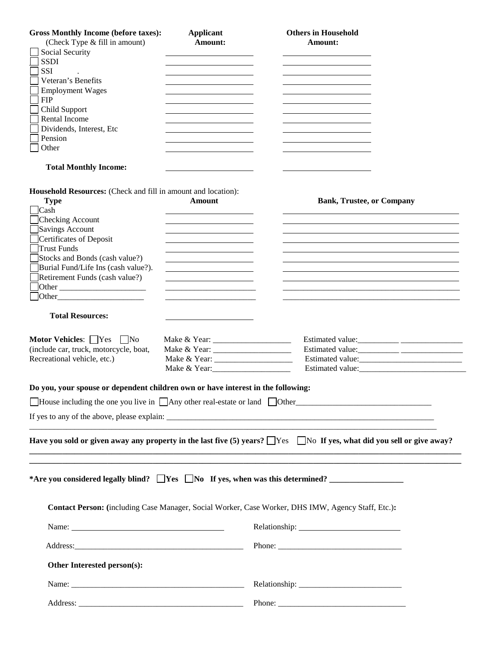| <b>Gross Monthly Income (before taxes):</b><br>(Check Type & fill in amount)<br>Social Security<br><b>SSDI</b><br><b>SSI</b><br>Veteran's Benefits<br><b>Employment Wages</b><br><b>FIP</b><br>Child Support<br>Rental Income<br>Dividends, Interest, Etc<br>Pension<br>Other<br><b>Total Monthly Income:</b>                                                         | <b>Applicant</b><br>Amount:                                                                                                            | <b>Others in Household</b><br>Amount:                                                                                               |  |
|-----------------------------------------------------------------------------------------------------------------------------------------------------------------------------------------------------------------------------------------------------------------------------------------------------------------------------------------------------------------------|----------------------------------------------------------------------------------------------------------------------------------------|-------------------------------------------------------------------------------------------------------------------------------------|--|
|                                                                                                                                                                                                                                                                                                                                                                       |                                                                                                                                        |                                                                                                                                     |  |
| Household Resources: (Check and fill in amount and location):<br><b>Type</b><br>$\sqrt{\frac{2}{1}}$<br>Checking Account<br>Savings Account<br>Certificates of Deposit<br>Trust Funds<br>Stocks and Bonds (cash value?)<br>Burial Fund/Life Ins (cash value?).<br>Retirement Funds (cash value?)<br>$\left\lceil \text{Other}\right\rceil$<br><b>Total Resources:</b> | <b>Amount</b><br><u> 1989 - Jan Samuel Barbara, martin de la provincia de la provincia de la provincia de la provincia de la provi</u> | <b>Bank, Trustee, or Company</b>                                                                                                    |  |
|                                                                                                                                                                                                                                                                                                                                                                       |                                                                                                                                        |                                                                                                                                     |  |
| Motor Vehicles: Yes No<br>(include car, truck, motorcycle, boat,<br>Recreational vehicle, etc.)                                                                                                                                                                                                                                                                       |                                                                                                                                        | Estimated value:                                                                                                                    |  |
| Do you, your spouse or dependent children own or have interest in the following:                                                                                                                                                                                                                                                                                      |                                                                                                                                        |                                                                                                                                     |  |
|                                                                                                                                                                                                                                                                                                                                                                       |                                                                                                                                        | $\Box$ House including the one you live in $\Box$ Any other real-estate or land $\Box$ Other                                        |  |
|                                                                                                                                                                                                                                                                                                                                                                       |                                                                                                                                        |                                                                                                                                     |  |
|                                                                                                                                                                                                                                                                                                                                                                       |                                                                                                                                        | Have you sold or given away any property in the last five $(5)$ years? $\Box$ Yes $\Box$ No If yes, what did you sell or give away? |  |
|                                                                                                                                                                                                                                                                                                                                                                       |                                                                                                                                        |                                                                                                                                     |  |
|                                                                                                                                                                                                                                                                                                                                                                       |                                                                                                                                        | Contact Person: (including Case Manager, Social Worker, Case Worker, DHS IMW, Agency Staff, Etc.):                                  |  |
|                                                                                                                                                                                                                                                                                                                                                                       |                                                                                                                                        |                                                                                                                                     |  |
|                                                                                                                                                                                                                                                                                                                                                                       |                                                                                                                                        |                                                                                                                                     |  |
| Other Interested person(s):                                                                                                                                                                                                                                                                                                                                           |                                                                                                                                        |                                                                                                                                     |  |
|                                                                                                                                                                                                                                                                                                                                                                       |                                                                                                                                        |                                                                                                                                     |  |
|                                                                                                                                                                                                                                                                                                                                                                       |                                                                                                                                        |                                                                                                                                     |  |
|                                                                                                                                                                                                                                                                                                                                                                       |                                                                                                                                        |                                                                                                                                     |  |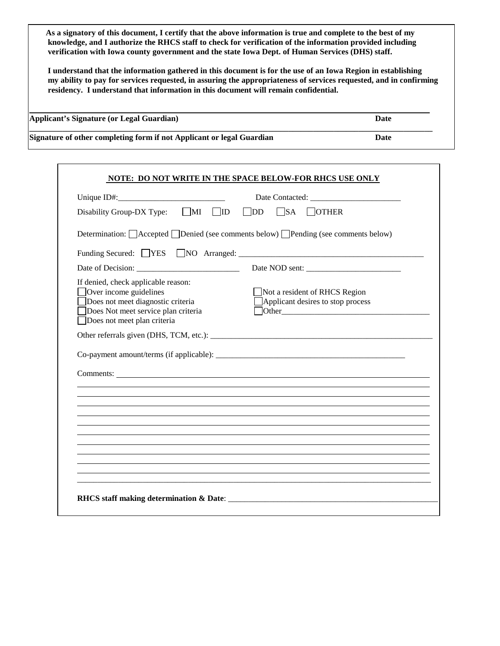**As a signatory of this document, I certify that the above information is true and complete to the best of my knowledge, and I authorize the RHCS staff to check for verification of the information provided including verification with Iowa county government and the state Iowa Dept. of Human Services (DHS) staff.** 

**I understand that the information gathered in this document is for the use of an Iowa Region in establishing my ability to pay for services requested, in assuring the appropriateness of services requested, and in confirming residency. I understand that information in this document will remain confidential.**

| <b>Applicant's Signature (or Legal Guardian)</b>                      | Date |
|-----------------------------------------------------------------------|------|
| Signature of other completing form if not Applicant or legal Guardian | Date |

|                                                                                                                                                                          | Unique $ID#$ : |                                                                    |
|--------------------------------------------------------------------------------------------------------------------------------------------------------------------------|----------------|--------------------------------------------------------------------|
| Disability Group-DX Type: MI JID JDD JSA JOTHER                                                                                                                          |                |                                                                    |
| Determination: □ Accepted □ Denied (see comments below) □ Pending (see comments below)                                                                                   |                |                                                                    |
|                                                                                                                                                                          |                |                                                                    |
|                                                                                                                                                                          |                |                                                                    |
| If denied, check applicable reason:<br>Over income guidelines<br>Does not meet diagnostic criteria<br>Does Not meet service plan criteria<br>Does not meet plan criteria |                | Not a resident of RHCS Region<br>Applicant desires to stop process |
|                                                                                                                                                                          |                |                                                                    |
|                                                                                                                                                                          |                |                                                                    |
|                                                                                                                                                                          |                |                                                                    |
|                                                                                                                                                                          |                |                                                                    |
|                                                                                                                                                                          |                |                                                                    |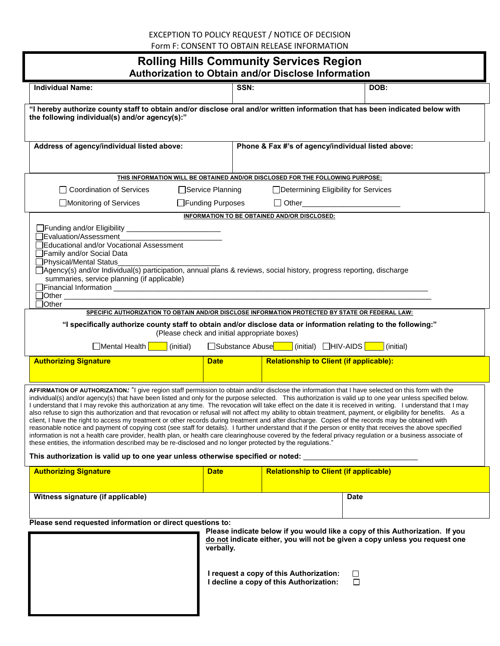# EXCEPTION TO POLICY REQUEST / NOTICE OF DECISION Form F: CONSENT TO OBTAIN RELEASE INFORMATION

# **Rolling Hills Community Services Region Authorization to Obtain and/or Disclose Information**

| Authorization to Obtain and/or Disclose Information                                                                                                                                                                                                                                                                                                                                                                                                                                                                                                                                                                                                                                                                                                                                                                                                                                                                                                                                                                                                                                                                                                                                                                                                                                                                                    |                                              |                                                                                    |             |  |
|----------------------------------------------------------------------------------------------------------------------------------------------------------------------------------------------------------------------------------------------------------------------------------------------------------------------------------------------------------------------------------------------------------------------------------------------------------------------------------------------------------------------------------------------------------------------------------------------------------------------------------------------------------------------------------------------------------------------------------------------------------------------------------------------------------------------------------------------------------------------------------------------------------------------------------------------------------------------------------------------------------------------------------------------------------------------------------------------------------------------------------------------------------------------------------------------------------------------------------------------------------------------------------------------------------------------------------------|----------------------------------------------|------------------------------------------------------------------------------------|-------------|--|
| <b>Individual Name:</b>                                                                                                                                                                                                                                                                                                                                                                                                                                                                                                                                                                                                                                                                                                                                                                                                                                                                                                                                                                                                                                                                                                                                                                                                                                                                                                                | SSN:                                         |                                                                                    | DOB:        |  |
| "I hereby authorize county staff to obtain and/or disclose oral and/or written information that has been indicated below with<br>the following individual(s) and/or agency(s):"                                                                                                                                                                                                                                                                                                                                                                                                                                                                                                                                                                                                                                                                                                                                                                                                                                                                                                                                                                                                                                                                                                                                                        |                                              |                                                                                    |             |  |
| Address of agency/individual listed above:                                                                                                                                                                                                                                                                                                                                                                                                                                                                                                                                                                                                                                                                                                                                                                                                                                                                                                                                                                                                                                                                                                                                                                                                                                                                                             |                                              | Phone & Fax #'s of agency/individual listed above:                                 |             |  |
|                                                                                                                                                                                                                                                                                                                                                                                                                                                                                                                                                                                                                                                                                                                                                                                                                                                                                                                                                                                                                                                                                                                                                                                                                                                                                                                                        |                                              |                                                                                    |             |  |
| THIS INFORMATION WILL BE OBTAINED AND/OR DISCLOSED FOR THE FOLLOWING PURPOSE:                                                                                                                                                                                                                                                                                                                                                                                                                                                                                                                                                                                                                                                                                                                                                                                                                                                                                                                                                                                                                                                                                                                                                                                                                                                          |                                              |                                                                                    |             |  |
| <b>Coordination of Services</b>                                                                                                                                                                                                                                                                                                                                                                                                                                                                                                                                                                                                                                                                                                                                                                                                                                                                                                                                                                                                                                                                                                                                                                                                                                                                                                        | □Service Planning                            | □ Determining Eligibility for Services                                             |             |  |
| Monitoring of Services                                                                                                                                                                                                                                                                                                                                                                                                                                                                                                                                                                                                                                                                                                                                                                                                                                                                                                                                                                                                                                                                                                                                                                                                                                                                                                                 | □Funding Purposes                            | □ Other__________________________                                                  |             |  |
|                                                                                                                                                                                                                                                                                                                                                                                                                                                                                                                                                                                                                                                                                                                                                                                                                                                                                                                                                                                                                                                                                                                                                                                                                                                                                                                                        |                                              | INFORMATION TO BE OBTAINED AND/OR DISCLOSED:                                       |             |  |
| □Evaluation/Assessment<br>Educational and/or Vocational Assessment<br>Family and/or Social Data<br>□Physical/Mental Status<br>□ Agency(s) and/or Individual(s) participation, annual plans & reviews, social history, progress reporting, discharge<br>summaries, service planning (if applicable)<br>]Other                                                                                                                                                                                                                                                                                                                                                                                                                                                                                                                                                                                                                                                                                                                                                                                                                                                                                                                                                                                                                           |                                              |                                                                                    |             |  |
| SPECIFIC AUTHORIZATION TO OBTAIN AND/OR DISCLOSE INFORMATION PROTECTED BY STATE OR FEDERAL LAW:                                                                                                                                                                                                                                                                                                                                                                                                                                                                                                                                                                                                                                                                                                                                                                                                                                                                                                                                                                                                                                                                                                                                                                                                                                        |                                              |                                                                                    |             |  |
| "I specifically authorize county staff to obtain and/or disclose data or information relating to the following:"                                                                                                                                                                                                                                                                                                                                                                                                                                                                                                                                                                                                                                                                                                                                                                                                                                                                                                                                                                                                                                                                                                                                                                                                                       | (Please check and initial appropriate boxes) |                                                                                    |             |  |
| Mental Health <b>New York</b><br>(initial)                                                                                                                                                                                                                                                                                                                                                                                                                                                                                                                                                                                                                                                                                                                                                                                                                                                                                                                                                                                                                                                                                                                                                                                                                                                                                             |                                              | □Substance Abuse     (initial) □HIV-AIDS     (initial)                             |             |  |
| <b>Authorizing Signature</b>                                                                                                                                                                                                                                                                                                                                                                                                                                                                                                                                                                                                                                                                                                                                                                                                                                                                                                                                                                                                                                                                                                                                                                                                                                                                                                           | <b>Date</b>                                  | <b>Relationship to Client (if applicable):</b>                                     |             |  |
| AFFIRMATION OF AUTHORIZATION: "I give region staff permission to obtain and/or disclose the information that I have selected on this form with the<br>individual(s) and/or agency(s) that have been listed and only for the purpose selected. This authorization is valid up to one year unless specified below.<br>I understand that I may revoke this authorization at any time. The revocation will take effect on the date it is received in writing. I understand that I may<br>also refuse to sign this authorization and that revocation or refusal will not affect my ability to obtain treatment, payment, or eligibility for benefits. As a<br>client, I have the right to access my treatment or other records during treatment and after discharge. Copies of the records may be obtained with<br>reasonable notice and payment of copying cost (see staff for details). I further understand that if the person or entity that receives the above specified<br>information is not a health care provider, health plan, or health care clearinghouse covered by the federal privacy regulation or a business associate of<br>these entities, the information described may be re-disclosed and no longer protected by the regulations."<br>This authorization is valid up to one year unless otherwise specified or noted: |                                              |                                                                                    |             |  |
| <b>Authorizing Signature</b>                                                                                                                                                                                                                                                                                                                                                                                                                                                                                                                                                                                                                                                                                                                                                                                                                                                                                                                                                                                                                                                                                                                                                                                                                                                                                                           | <b>Date</b>                                  | <b>Relationship to Client (if applicable)</b>                                      |             |  |
| Witness signature (if applicable)                                                                                                                                                                                                                                                                                                                                                                                                                                                                                                                                                                                                                                                                                                                                                                                                                                                                                                                                                                                                                                                                                                                                                                                                                                                                                                      |                                              |                                                                                    | <b>Date</b> |  |
| Please send requested information or direct questions to:                                                                                                                                                                                                                                                                                                                                                                                                                                                                                                                                                                                                                                                                                                                                                                                                                                                                                                                                                                                                                                                                                                                                                                                                                                                                              |                                              |                                                                                    |             |  |
| Please indicate below if you would like a copy of this Authorization. If you<br>do not indicate either, you will not be given a copy unless you request one<br>verbally.                                                                                                                                                                                                                                                                                                                                                                                                                                                                                                                                                                                                                                                                                                                                                                                                                                                                                                                                                                                                                                                                                                                                                               |                                              |                                                                                    |             |  |
|                                                                                                                                                                                                                                                                                                                                                                                                                                                                                                                                                                                                                                                                                                                                                                                                                                                                                                                                                                                                                                                                                                                                                                                                                                                                                                                                        |                                              | I request a copy of this Authorization:<br>I decline a copy of this Authorization: | ப<br>П      |  |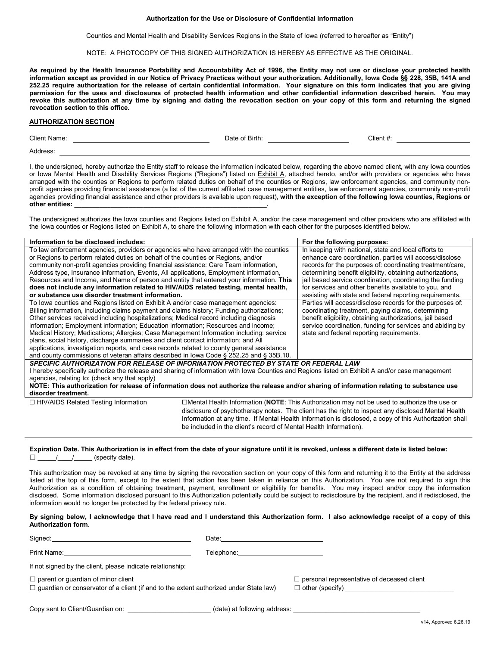#### **Authorization for the Use or Disclosure of Confidential Information**

Counties and Mental Health and Disability Services Regions in the State of Iowa (referred to hereafter as "Entity")

NOTE: A PHOTOCOPY OF THIS SIGNED AUTHORIZATION IS HEREBY AS EFFECTIVE AS THE ORIGINAL.

**As required by the Health Insurance Portability and Accountability Act of 1996, the Entity may not use or disclose your protected health information except as provided in our Notice of Privacy Practices without your authorization. Additionally, Iowa Code §§ 228, 35B, 141A and 252.25 require authorization for the release of certain confidential information. Your signature on this form indicates that you are giving permission for the uses and disclosures of protected health information and other confidential information described herein. You may revoke this authorization at any time by signing and dating the revocation section on your copy of this form and returning the signed revocation section to this office.** 

#### **AUTHORIZATION SECTION**

| Client Name. | Date of<br>∵Birth. | Client |
|--------------|--------------------|--------|
| Address      |                    |        |

I, the undersigned, hereby authorize the Entity staff to release the information indicated below, regarding the above named client, with any Iowa counties or Iowa Mental Health and Disability Services Regions ("Regions") listed on Exhibit A, attached hereto, and/or with providers or agencies who have arranged with the counties or Regions to perform related duties on behalf of the counties or Regions, law enforcement agencies, and community nonprofit agencies providing financial assistance (a list of the current affiliated case management entities, law enforcement agencies, community non-profit agencies providing financial assistance and other providers is available upon request), **with the exception of the following Iowa counties, Regions or other entities: \_\_\_\_\_\_\_\_\_\_\_\_\_\_\_\_\_\_\_\_\_\_\_\_\_\_\_\_\_\_\_\_\_\_\_\_\_\_\_\_\_\_\_\_\_\_\_\_\_\_\_\_\_.**

The undersigned authorizes the Iowa counties and Regions listed on Exhibit A, and/or the case management and other providers who are affiliated with the Iowa counties or Regions listed on Exhibit A, to share the following information with each other for the purposes identified below.

| Information to be disclosed includes:                                                      |  | For the following purposes:                                                                                                                      |
|--------------------------------------------------------------------------------------------|--|--------------------------------------------------------------------------------------------------------------------------------------------------|
| To law enforcement agencies, providers or agencies who have arranged with the counties     |  | In keeping with national, state and local efforts to                                                                                             |
| or Regions to perform related duties on behalf of the counties or Regions, and/or          |  | enhance care coordination, parties will access/disclose                                                                                          |
| community non-profit agencies providing financial assistance: Care Team information,       |  | records for the purposes of: coordinating treatment/care.                                                                                        |
| Address type, Insurance information, Events, All applications, Employment information,     |  | determining benefit eligibility, obtaining authorizations,                                                                                       |
| Resources and Income, and Name of person and entity that entered your information. This    |  | jail based service coordination, coordinating the funding                                                                                        |
| does not include any information related to HIV/AIDS related testing, mental health,       |  | for services and other benefits available to you, and                                                                                            |
| or substance use disorder treatment information.                                           |  | assisting with state and federal reporting requirements.                                                                                         |
| To lowa counties and Regions listed on Exhibit A and/or case management agencies:          |  | Parties will access/disclose records for the purposes of:                                                                                        |
| Billing information, including claims payment and claims history; Funding authorizations;  |  | coordinating treatment, paying claims, determining                                                                                               |
| Other services received including hospitalizations; Medical record including diagnosis     |  | benefit eligibility, obtaining authorizations, jail based                                                                                        |
| information; Employment information; Education information; Resources and income;          |  | service coordination, funding for services and abiding by                                                                                        |
| Medical History; Medications; Allergies; Case Management Information including: service    |  | state and federal reporting requirements.                                                                                                        |
| plans, social history, discharge summaries and client contact information; and All         |  |                                                                                                                                                  |
| applications, investigation reports, and case records related to county general assistance |  |                                                                                                                                                  |
| and county commissions of veteran affairs described in lowa Code § 252.25 and § 35B.10.    |  |                                                                                                                                                  |
| SPECIFIC AUTHORIZATION FOR RELEASE OF INFORMATION PROTECTED BY STATE OR FEDERAL LAW        |  |                                                                                                                                                  |
|                                                                                            |  | I hereby specifically authorize the release and sharing of information with Iowa Counties and Regions listed on Exhibit A and/or case management |
| agencies, relating to: (check any that apply)                                              |  |                                                                                                                                                  |
|                                                                                            |  | NOTE: This authorization for release of information does not authorize the release and/or sharing of information relating to substance use       |
| disorder treatment.                                                                        |  |                                                                                                                                                  |
| $\Box$ HIV/AIDS Related Testing Information                                                |  | □Mental Health Information (NOTE: This Authorization may not be used to authorize the use or                                                     |
|                                                                                            |  | disclosure of psychotherapy notes. The client has the right to inspect any disclosed Mental Health                                               |

**Expiration Date. This Authorization is in effect from the date of your signature until it is revoked, unless a different date is listed below:**  $\Box$  / / (specify date).

This authorization may be revoked at any time by signing the revocation section on your copy of this form and returning it to the Entity at the address listed at the top of this form, except to the extent that action has been taken in reliance on this Authorization. You are not required to sign this Authorization as a condition of obtaining treatment, payment, enrollment or eligibility for benefits. You may inspect and/or copy the information disclosed. Some information disclosed pursuant to this Authorization potentially could be subject to redisclosure by the recipient, and if redisclosed, the information would no longer be protected by the federal privacy rule.

be included in the client's record of Mental Health Information).

#### **By signing below, I acknowledge that I have read and I understand this Authorization form. I also acknowledge receipt of a copy of this Authorization form**.

| Sianed: | Uate. |
|---------|-------|
|         |       |

Print Name: Telephone: Telephone: Telephone: Telephone:

If not signed by the client, please indicate relationship:

☐ parent or guardian of minor client ☐ personal representative of deceased client

 $\Box$  guardian or conservator of a client (if and to the extent authorized under State law)  $\Box$  other (specify)

Information at any time. If Mental Health Information is disclosed, a copy of this Authorization shall

Copy sent to Client/Guardian on: \_\_\_\_\_\_\_\_\_\_\_\_\_\_\_\_\_\_\_\_\_\_\_\_\_\_\_\_\_(date) at following address: \_